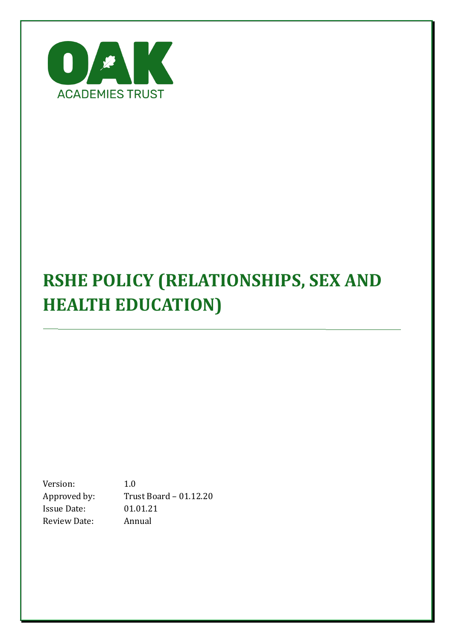

# **RSHE POLICY (RELATIONSHIPS, SEX AND HEALTH EDUCATION)**

Version: 1.0<br>Approved by: Tru Trust Board – 01.12.20<br>01.01.21 Issue Date: 01.01.2<br>Review Date: Annual Review Date: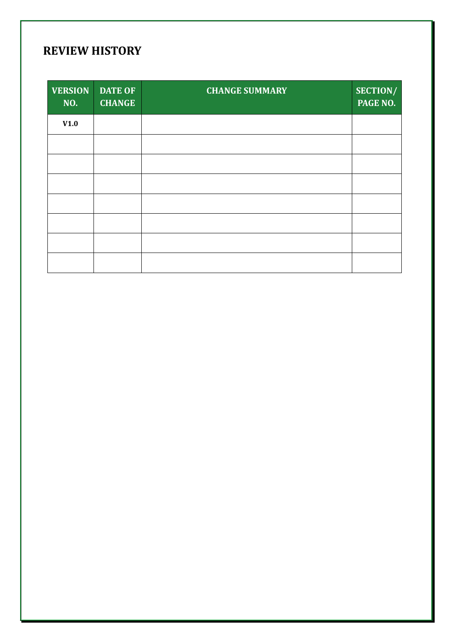# **REVIEW HISTORY**

| <b>VERSION</b><br>NO. | <b>DATE OF</b><br><b>CHANGE</b> | <b>CHANGE SUMMARY</b> | SECTION/<br><b>PAGE NO.</b> |
|-----------------------|---------------------------------|-----------------------|-----------------------------|
| V1.0                  |                                 |                       |                             |
|                       |                                 |                       |                             |
|                       |                                 |                       |                             |
|                       |                                 |                       |                             |
|                       |                                 |                       |                             |
|                       |                                 |                       |                             |
|                       |                                 |                       |                             |
|                       |                                 |                       |                             |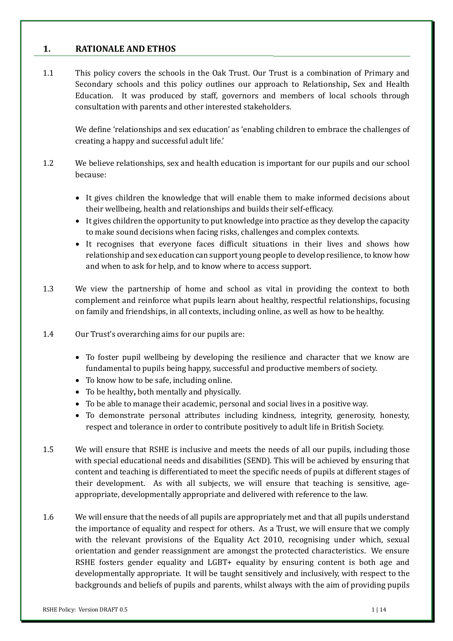# **1. RATIONALE AND ETHOS**

1.1 This policy covers the schools in the Oak Trust. Our Trust is a combination of Primary and Secondary schools and this policy outlines our approach to Relationship**,** Sex and Health Education. It was produced by staff, governors and members of local schools through consultation with parents and other interested stakeholders.

We define 'relationships and sex education' as 'enabling children to embrace the challenges of creating a happy and successful adult life.'

- 1.2 We believe relationships, sex and health education is important for our pupils and our school because:
	- It gives children the knowledge that will enable them to make informed decisions about their wellbeing, health and relationships and builds their self-efficacy.
	- It gives children the opportunity to put knowledge into practice as they develop the capacity to make sound decisions when facing risks, challenges and complex contexts.
	- It recognises that everyone faces difficult situations in their lives and shows how relationship and sex education can support young people to develop resilience, to know how and when to ask for help, and to know where to access support.
- 1.3 We view the partnership of home and school as vital in providing the context to both complement and reinforce what pupils learn about healthy, respectful relationships, focusing on family and friendships, in all contexts, including online, as well as how to be healthy.
- 1.4 Our Trust's overarching aims for our pupils are:
	- To foster pupil wellbeing by developing the resilience and character that we know are fundamental to pupils being happy, successful and productive members of society.
	- To know how to be safe, including online.
	- To be healthy**,** both mentally and physically.
	- To be able to manage their academic, personal and social lives in a positive way.
	- To demonstrate personal attributes including kindness, integrity, generosity, honesty, respect and tolerance in order to contribute positively to adult life in British Society.
- 1.5 We will ensure that RSHE is inclusive and meets the needs of all our pupils, including those with special educational needs and disabilities (SEND). This will be achieved by ensuring that content and teaching is differentiated to meet the specific needs of pupils at different stages of their development. As with all subjects, we will ensure that teaching is sensitive, ageappropriate, developmentally appropriate and delivered with reference to the law.
- 1.6 We will ensure that the needs of all pupils are appropriately met and that all pupils understand the importance of equality and respect for others. As a Trust, we will ensure that we comply with the relevant provisions of the Equality Act 2010, recognising under which, sexual orientation and gender reassignment are amongst the protected characteristics. We ensure RSHE fosters gender equality and LGBT+ equality by ensuring content is both age and developmentally appropriate. It will be taught sensitively and inclusively, with respect to the backgrounds and beliefs of pupils and parents, whilst always with the aim of providing pupils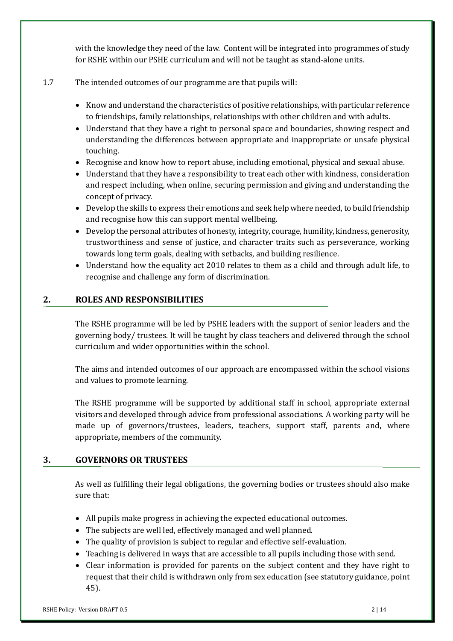with the knowledge they need of the law. Content will be integrated into programmes of study for RSHE within our PSHE curriculum and will not be taught as stand-alone units.

# 1.7 The intended outcomes of our programme are that pupils will:

- Know and understand the characteristics of positive relationships, with particular reference to friendships, family relationships, relationships with other children and with adults.
- Understand that they have a right to personal space and boundaries, showing respect and understanding the differences between appropriate and inappropriate or unsafe physical touching.
- Recognise and know how to report abuse, including emotional, physical and sexual abuse.
- Understand that they have a responsibility to treat each other with kindness, consideration and respect including, when online, securing permission and giving and understanding the concept of privacy.
- Develop the skills to express their emotions and seek help where needed, to build friendship and recognise how this can support mental wellbeing.
- Develop the personal attributes of honesty, integrity, courage, humility, kindness, generosity, trustworthiness and sense of justice, and character traits such as perseverance, working towards long term goals, dealing with setbacks, and building resilience.
- Understand how the equality act 2010 relates to them as a child and through adult life, to recognise and challenge any form of discrimination.

#### **2. ROLES AND RESPONSIBILITIES**

The RSHE programme will be led by PSHE leaders with the support of senior leaders and the governing body/ trustees. It will be taught by class teachers and delivered through the school curriculum and wider opportunities within the school.

The aims and intended outcomes of our approach are encompassed within the school visions and values to promote learning.

The RSHE programme will be supported by additional staff in school, appropriate external visitors and developed through advice from professional associations. A working party will be made up of governors/trustees, leaders, teachers, support staff, parents and**,** where appropriate**,** members of the community.

# **3. GOVERNORS OR TRUSTEES**

As well as fulfilling their legal obligations, the governing bodies or trustees should also make sure that:

- All pupils make progress in achieving the expected educational outcomes.
- The subjects are well led, effectively managed and well planned.
- The quality of provision is subject to regular and effective self-evaluation.
- Teaching is delivered in ways that are accessible to all pupils including those with send.
- Clear information is provided for parents on the subject content and they have right to request that their child is withdrawn only from sex education (see statutory guidance, point 45).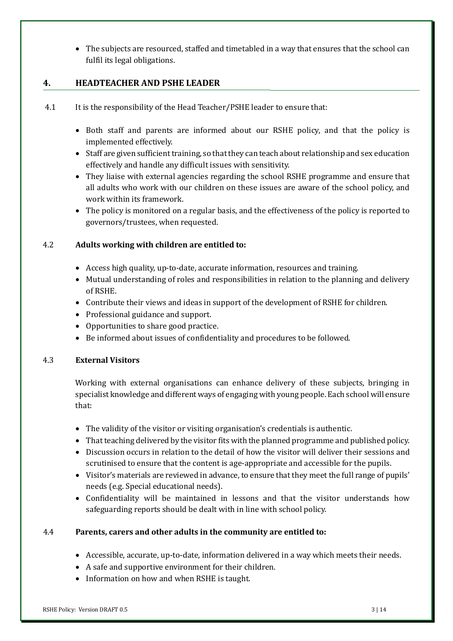• The subjects are resourced, staffed and timetabled in a way that ensures that the school can fulfil its legal obligations.

#### **4. HEADTEACHER AND PSHE LEADER**

- 4.1 It is the responsibility of the Head Teacher/PSHE leader to ensure that:
	- Both staff and parents are informed about our RSHE policy, and that the policy is implemented effectively.
	- Staff are given sufficient training, so that they can teach about relationship and sex education effectively and handle any difficult issues with sensitivity.
	- They liaise with external agencies regarding the school RSHE programme and ensure that all adults who work with our children on these issues are aware of the school policy, and work within its framework.
	- The policy is monitored on a regular basis, and the effectiveness of the policy is reported to governors/trustees, when requested.

#### 4.2 **Adults working with children are entitled to:**

- Access high quality, up-to-date, accurate information, resources and training.
- Mutual understanding of roles and responsibilities in relation to the planning and delivery of RSHE.
- Contribute their views and ideas in support of the development of RSHE for children.
- Professional guidance and support.
- Opportunities to share good practice.
- Be informed about issues of confidentiality and procedures to be followed.

#### 4.3 **External Visitors**

Working with external organisations can enhance delivery of these subjects, bringing in specialist knowledge and different ways of engaging with young people. Each school will ensure that:

- The validity of the visitor or visiting organisation's credentials is authentic.
- That teaching delivered by the visitor fits with the planned programme and published policy.
- Discussion occurs in relation to the detail of how the visitor will deliver their sessions and scrutinised to ensure that the content is age-appropriate and accessible for the pupils.
- Visitor's materials are reviewed in advance, to ensure that they meet the full range of pupils' needs (e.g. Special educational needs).
- Confidentiality will be maintained in lessons and that the visitor understands how safeguarding reports should be dealt with in line with school policy.

#### 4.4 **Parents, carers and other adults in the community are entitled to:**

- Accessible, accurate, up-to-date, information delivered in a way which meets their needs.
- A safe and supportive environment for their children.
- Information on how and when RSHE is taught.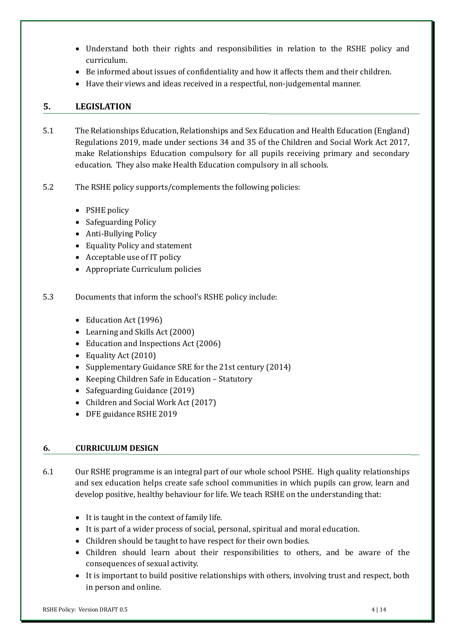- Understand both their rights and responsibilities in relation to the RSHE policy and curriculum.
- Be informed about issues of confidentiality and how it affects them and their children.
- Have their views and ideas received in a respectful, non-judgemental manner.

# **5. LEGISLATION**

- 5.1 The Relationships Education, Relationships and Sex Education and Health Education (England) Regulations 2019, made under sections 34 and 35 of the Children and Social Work Act 2017, make Relationships Education compulsory for all pupils receiving primary and secondary education. They also make Health Education compulsory in all schools.
- 5.2 The RSHE policy supports/complements the following policies:
	- PSHE policy
	- Safeguarding Policy
	- Anti-Bullying Policy
	- Equality Policy and statement
	- Acceptable use of IT policy
	- Appropriate Curriculum policies
- 5.3 Documents that inform the school's RSHE policy include:
	- Education Act (1996)
	- Learning and Skills Act (2000)
	- Education and Inspections Act (2006)
	- Equality Act (2010)
	- Supplementary Guidance SRE for the 21st century (2014)
	- Keeping Children Safe in Education Statutory
	- Safeguarding Guidance (2019)
	- Children and Social Work Act (2017)
	- DFE guidance RSHE 2019

# **6. CURRICULUM DESIGN**

6.1 Our RSHE programme is an integral part of our whole school PSHE. High quality relationships and sex education helps create safe school communities in which pupils can grow, learn and develop positive, healthy behaviour for life. We teach RSHE on the understanding that:

- It is taught in the context of family life.
- It is part of a wider process of social, personal, spiritual and moral education.
- Children should be taught to have respect for their own bodies.
- Children should learn about their responsibilities to others, and be aware of the consequences of sexual activity.
- It is important to build positive relationships with others, involving trust and respect, both in person and online.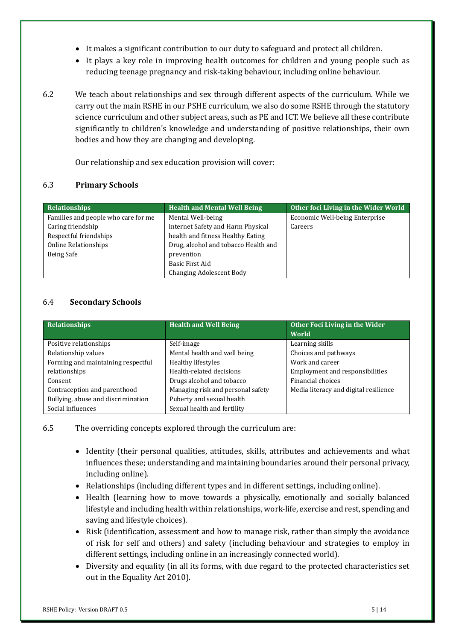- It makes a significant contribution to our duty to safeguard and protect all children.
- It plays a key role in improving health outcomes for children and young people such as reducing teenage pregnancy and risk-taking behaviour, including online behaviour.
- 6.2 We teach about relationships and sex through different aspects of the curriculum. While we carry out the main RSHE in our PSHE curriculum, we also do some RSHE through the statutory science curriculum and other subject areas, such as PE and ICT. We believe all these contribute significantly to children's knowledge and understanding of positive relationships, their own bodies and how they are changing and developing.

Our relationship and sex education provision will cover:

#### 6.3 **Primary Schools**

| Relationships                       | <b>Health and Mental Well Being</b>  | Other foci Living in the Wider World |
|-------------------------------------|--------------------------------------|--------------------------------------|
| Families and people who care for me | Mental Well-being                    | Economic Well-being Enterprise       |
| Caring friendship                   | Internet Safety and Harm Physical    | Careers                              |
| Respectful friendships              | health and fitness Healthy Eating    |                                      |
| <b>Online Relationships</b>         | Drug, alcohol and tobacco Health and |                                      |
| Being Safe                          | prevention                           |                                      |
|                                     | Basic First Aid                      |                                      |
|                                     | Changing Adolescent Body             |                                      |

#### 6.4 **Secondary Schools**

| <b>Relationships</b>               | <b>Health and Well Being</b>      | Other Foci Living in the Wider<br>World |
|------------------------------------|-----------------------------------|-----------------------------------------|
| Positive relationships             | Self-image                        | Learning skills                         |
| Relationship values                | Mental health and well being      | Choices and pathways                    |
| Forming and maintaining respectful | Healthy lifestyles                | Work and career                         |
| relationships                      | Health-related decisions          | Employment and responsibilities         |
| Consent                            | Drugs alcohol and tobacco         | Financial choices                       |
| Contraception and parenthood       | Managing risk and personal safety | Media literacy and digital resilience   |
| Bullying, abuse and discrimination | Puberty and sexual health         |                                         |
| Social influences                  | Sexual health and fertility       |                                         |

6.5 The overriding concepts explored through the curriculum are:

- Identity (their personal qualities, attitudes, skills, attributes and achievements and what influences these; understanding and maintaining boundaries around their personal privacy, including online).
- Relationships (including different types and in different settings, including online).
- Health (learning how to move towards a physically, emotionally and socially balanced lifestyle and including health within relationships, work-life, exercise and rest, spending and saving and lifestyle choices).
- Risk (identification, assessment and how to manage risk, rather than simply the avoidance of risk for self and others) and safety (including behaviour and strategies to employ in different settings, including online in an increasingly connected world).
- Diversity and equality (in all its forms, with due regard to the protected characteristics set out in the Equality Act 2010).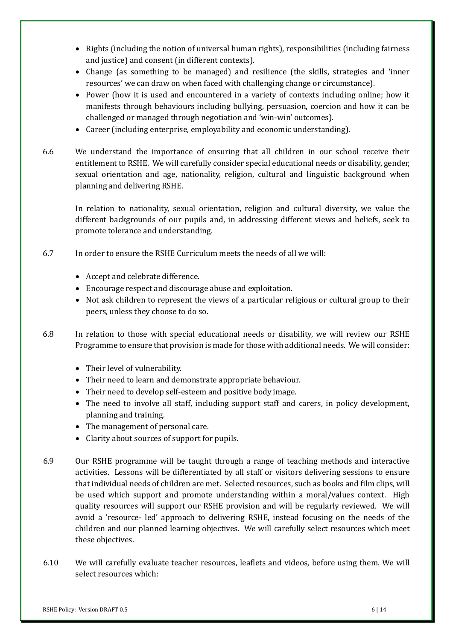- Rights (including the notion of universal human rights), responsibilities (including fairness and justice) and consent (in different contexts).
- Change (as something to be managed) and resilience (the skills, strategies and 'inner resources' we can draw on when faced with challenging change or circumstance).
- Power (how it is used and encountered in a variety of contexts including online; how it manifests through behaviours including bullying, persuasion, coercion and how it can be challenged or managed through negotiation and 'win-win' outcomes).
- Career (including enterprise, employability and economic understanding).
- 6.6 We understand the importance of ensuring that all children in our school receive their entitlement to RSHE. We will carefully consider special educational needs or disability, gender, sexual orientation and age, nationality, religion, cultural and linguistic background when planning and delivering RSHE.

In relation to nationality, sexual orientation, religion and cultural diversity, we value the different backgrounds of our pupils and, in addressing different views and beliefs, seek to promote tolerance and understanding.

- 6.7 In order to ensure the RSHE Curriculum meets the needs of all we will:
	- Accept and celebrate difference.
	- Encourage respect and discourage abuse and exploitation.
	- Not ask children to represent the views of a particular religious or cultural group to their peers, unless they choose to do so.
- 6.8 In relation to those with special educational needs or disability, we will review our RSHE Programme to ensure that provision is made for those with additional needs. We will consider:
	- Their level of vulnerability.
	- Their need to learn and demonstrate appropriate behaviour.
	- Their need to develop self-esteem and positive body image.
	- The need to involve all staff, including support staff and carers, in policy development, planning and training.
	- The management of personal care.
	- Clarity about sources of support for pupils.
- 6.9 Our RSHE programme will be taught through a range of teaching methods and interactive activities. Lessons will be differentiated by all staff or visitors delivering sessions to ensure that individual needs of children are met. Selected resources, such as books and film clips, will be used which support and promote understanding within a moral/values context. High quality resources will support our RSHE provision and will be regularly reviewed. We will avoid a 'resource- led' approach to delivering RSHE, instead focusing on the needs of the children and our planned learning objectives. We will carefully select resources which meet these objectives.
- 6.10 We will carefully evaluate teacher resources, leaflets and videos, before using them. We will select resources which: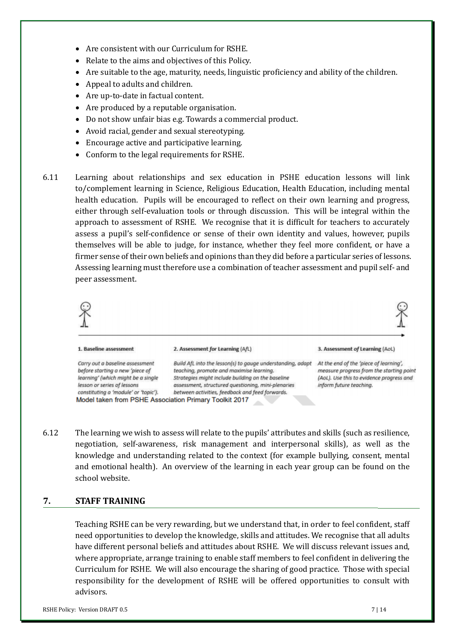- Are consistent with our Curriculum for RSHE.
- Relate to the aims and objectives of this Policy.
- Are suitable to the age, maturity, needs, linguistic proficiency and ability of the children.
- Appeal to adults and children.
- Are up-to-date in factual content.
- Are produced by a reputable organisation.
- Do not show unfair bias e.g. Towards a commercial product.
- Avoid racial, gender and sexual stereotyping.
- Encourage active and participative learning.
- Conform to the legal requirements for RSHE.
- 6.11 Learning about relationships and sex education in PSHE education lessons will link to/complement learning in Science, Religious Education, Health Education, including mental health education. Pupils will be encouraged to reflect on their own learning and progress, either through self-evaluation tools or through discussion. This will be integral within the approach to assessment of RSHE. We recognise that it is difficult for teachers to accurately assess a pupil's self-confidence or sense of their own identity and values, however, pupils themselves will be able to judge, for instance, whether they feel more confident, or have a firmer sense of their own beliefs and opinions than they did before a particular series of lessons. Assessing learning must therefore use a combination of teacher assessment and pupil self- and peer assessment.



6.12 The learning we wish to assess will relate to the pupils' attributes and skills (such as resilience, negotiation, self-awareness, risk management and interpersonal skills), as well as the knowledge and understanding related to the context (for example bullying, consent, mental and emotional health). An overview of the learning in each year group can be found on the school website.

#### **7. STAFF TRAINING**

Teaching RSHE can be very rewarding, but we understand that, in order to feel confident, staff need opportunities to develop the knowledge, skills and attitudes. We recognise that all adults have different personal beliefs and attitudes about RSHE. We will discuss relevant issues and, where appropriate, arrange training to enable staff members to feel confident in delivering the Curriculum for RSHE. We will also encourage the sharing of good practice. Those with special responsibility for the development of RSHE will be offered opportunities to consult with advisors.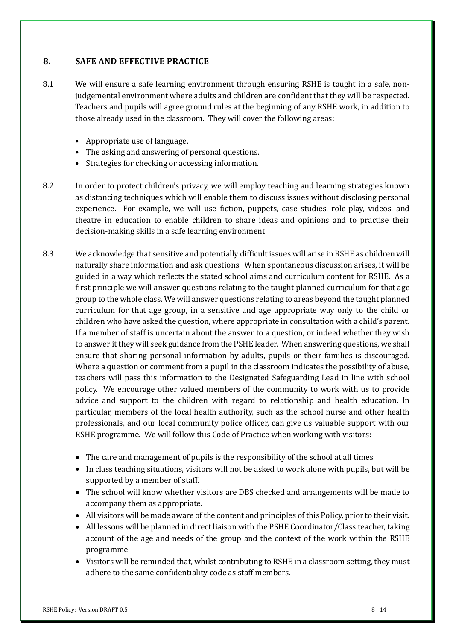# **8. SAFE AND EFFECTIVE PRACTICE**

- 8.1 We will ensure a safe learning environment through ensuring RSHE is taught in a safe, nonjudgemental environment where adults and children are confident that they will be respected. Teachers and pupils will agree ground rules at the beginning of any RSHE work, in addition to those already used in the classroom. They will cover the following areas:
	- Appropriate use of language.
	- The asking and answering of personal questions.
	- Strategies for checking or accessing information.
- 8.2 In order to protect children's privacy, we will employ teaching and learning strategies known as distancing techniques which will enable them to discuss issues without disclosing personal experience. For example, we will use fiction, puppets, case studies, role-play, videos, and theatre in education to enable children to share ideas and opinions and to practise their decision-making skills in a safe learning environment.
- 8.3 We acknowledge that sensitive and potentially difficult issues will arise in RSHE as children will naturally share information and ask questions. When spontaneous discussion arises, it will be guided in a way which reflects the stated school aims and curriculum content for RSHE. As a first principle we will answer questions relating to the taught planned curriculum for that age group to the whole class. We will answer questions relating to areas beyond the taught planned curriculum for that age group, in a sensitive and age appropriate way only to the child or children who have asked the question, where appropriate in consultation with a child's parent. If a member of staff is uncertain about the answer to a question, or indeed whether they wish to answer it they will seek guidance from the PSHE leader. When answering questions, we shall ensure that sharing personal information by adults, pupils or their families is discouraged. Where a question or comment from a pupil in the classroom indicates the possibility of abuse, teachers will pass this information to the Designated Safeguarding Lead in line with school policy. We encourage other valued members of the community to work with us to provide advice and support to the children with regard to relationship and health education. In particular, members of the local health authority, such as the school nurse and other health professionals, and our local community police officer, can give us valuable support with our RSHE programme. We will follow this Code of Practice when working with visitors:
	- The care and management of pupils is the responsibility of the school at all times.
	- In class teaching situations, visitors will not be asked to work alone with pupils, but will be supported by a member of staff.
	- The school will know whether visitors are DBS checked and arrangements will be made to accompany them as appropriate.
	- All visitors will be made aware of the content and principles of this Policy, prior to their visit.
	- All lessons will be planned in direct liaison with the PSHE Coordinator/Class teacher, taking account of the age and needs of the group and the context of the work within the RSHE programme.
	- Visitors will be reminded that, whilst contributing to RSHE in a classroom setting, they must adhere to the same confidentiality code as staff members.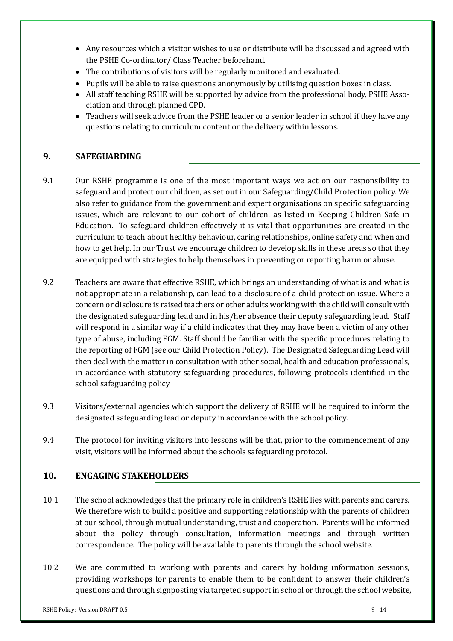- Any resources which a visitor wishes to use or distribute will be discussed and agreed with the PSHE Co-ordinator/ Class Teacher beforehand.
- The contributions of visitors will be regularly monitored and evaluated.
- Pupils will be able to raise questions anonymously by utilising question boxes in class.
- All staff teaching RSHE will be supported by advice from the professional body, PSHE Association and through planned CPD.
- Teachers will seek advice from the PSHE leader or a senior leader in school if they have any questions relating to curriculum content or the delivery within lessons.

# **9. SAFEGUARDING**

- 9.1 Our RSHE programme is one of the most important ways we act on our responsibility to safeguard and protect our children, as set out in our Safeguarding/Child Protection policy. We also refer to guidance from the government and expert organisations on specific safeguarding issues, which are relevant to our cohort of children, as listed in Keeping Children Safe in Education. To safeguard children effectively it is vital that opportunities are created in the curriculum to teach about healthy behaviour, caring relationships, online safety and when and how to get help. In our Trust we encourage children to develop skills in these areas so that they are equipped with strategies to help themselves in preventing or reporting harm or abuse.
- 9.2 Teachers are aware that effective RSHE, which brings an understanding of what is and what is not appropriate in a relationship, can lead to a disclosure of a child protection issue. Where a concern or disclosure is raised teachers or other adults working with the child will consult with the designated safeguarding lead and in his/her absence their deputy safeguarding lead. Staff will respond in a similar way if a child indicates that they may have been a victim of any other type of abuse, including FGM. Staff should be familiar with the specific procedures relating to the reporting of FGM (see our Child Protection Policy). The Designated Safeguarding Lead will then deal with the matter in consultation with other social, health and education professionals, in accordance with statutory safeguarding procedures, following protocols identified in the school safeguarding policy.
- 9.3 Visitors/external agencies which support the delivery of RSHE will be required to inform the designated safeguarding lead or deputy in accordance with the school policy.
- 9.4 The protocol for inviting visitors into lessons will be that, prior to the commencement of any visit, visitors will be informed about the schools safeguarding protocol.

# **10. ENGAGING STAKEHOLDERS**

- 10.1 The school acknowledges that the primary role in children's RSHE lies with parents and carers. We therefore wish to build a positive and supporting relationship with the parents of children at our school, through mutual understanding, trust and cooperation. Parents will be informed about the policy through consultation, information meetings and through written correspondence. The policy will be available to parents through the school website.
- 10.2 We are committed to working with parents and carers by holding information sessions, providing workshops for parents to enable them to be confident to answer their children's questions and through signposting via targeted support in school or through the school website,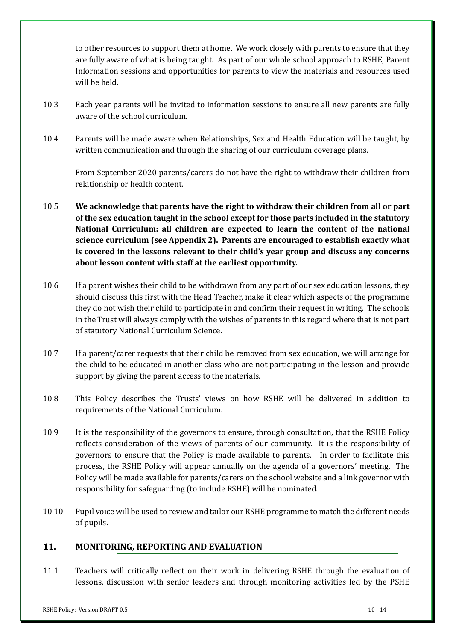to other resources to support them at home. We work closely with parents to ensure that they are fully aware of what is being taught. As part of our whole school approach to RSHE, Parent Information sessions and opportunities for parents to view the materials and resources used will be held.

- 10.3 Each year parents will be invited to information sessions to ensure all new parents are fully aware of the school curriculum.
- 10.4 Parents will be made aware when Relationships, Sex and Health Education will be taught, by written communication and through the sharing of our curriculum coverage plans.

From September 2020 parents/carers do not have the right to withdraw their children from relationship or health content.

- 10.5 **We acknowledge that parents have the right to withdraw their children from all or part of the sex education taught in the school except for those parts included in the statutory National Curriculum: all children are expected to learn the content of the national science curriculum (see Appendix 2). Parents are encouraged to establish exactly what is covered in the lessons relevant to their child's year group and discuss any concerns about lesson content with staff at the earliest opportunity.**
- 10.6 If a parent wishes their child to be withdrawn from any part of our sex education lessons, they should discuss this first with the Head Teacher, make it clear which aspects of the programme they do not wish their child to participate in and confirm their request in writing. The schools in the Trust will always comply with the wishes of parents in this regard where that is not part of statutory National Curriculum Science.
- 10.7 If a parent/carer requests that their child be removed from sex education, we will arrange for the child to be educated in another class who are not participating in the lesson and provide support by giving the parent access to the materials.
- 10.8 This Policy describes the Trusts' views on how RSHE will be delivered in addition to requirements of the National Curriculum.
- 10.9 It is the responsibility of the governors to ensure, through consultation, that the RSHE Policy reflects consideration of the views of parents of our community. It is the responsibility of governors to ensure that the Policy is made available to parents. In order to facilitate this process, the RSHE Policy will appear annually on the agenda of a governors' meeting. The Policy will be made available for parents/carers on the school website and a link governor with responsibility for safeguarding (to include RSHE) will be nominated.
- 10.10 Pupil voice will be used to review and tailor our RSHE programme to match the different needs of pupils.

# **11. MONITORING, REPORTING AND EVALUATION**

11.1 Teachers will critically reflect on their work in delivering RSHE through the evaluation of lessons, discussion with senior leaders and through monitoring activities led by the PSHE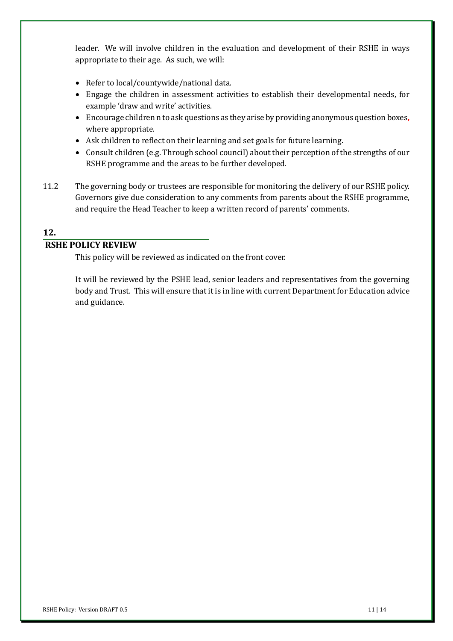leader. We will involve children in the evaluation and development of their RSHE in ways appropriate to their age. As such, we will:

- Refer to local/countywide/national data.
- Engage the children in assessment activities to establish their developmental needs, for example 'draw and write' activities.
- Encourage children n to ask questions as they arise by providing anonymous question boxes**,** where appropriate.
- Ask children to reflect on their learning and set goals for future learning.
- Consult children (e.g. Through school council) about their perception of the strengths of our RSHE programme and the areas to be further developed.
- 11.2 The governing body or trustees are responsible for monitoring the delivery of our RSHE policy. Governors give due consideration to any comments from parents about the RSHE programme, and require the Head Teacher to keep a written record of parents' comments.

# **12.**

# **RSHE POLICY REVIEW**

This policy will be reviewed as indicated on the front cover.

It will be reviewed by the PSHE lead, senior leaders and representatives from the governing body and Trust. This will ensure that it is in line with current Department for Education advice and guidance.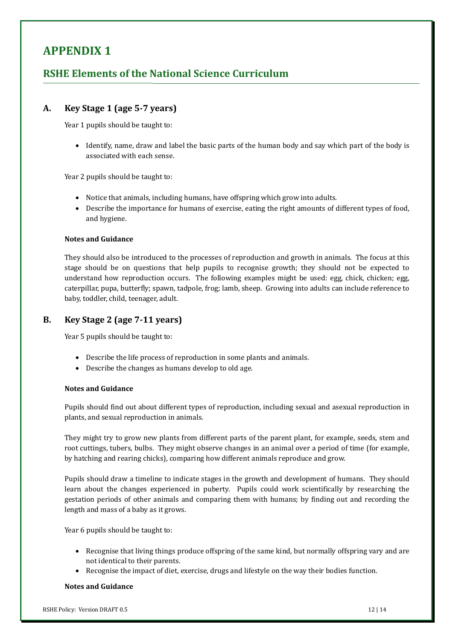# **APPENDIX 1**

# **RSHE Elements of the National Science Curriculum**

#### **A. Key Stage 1 (age 5-7 years)**

Year 1 pupils should be taught to:

• Identify, name, draw and label the basic parts of the human body and say which part of the body is associated with each sense.

Year 2 pupils should be taught to:

- Notice that animals, including humans, have offspring which grow into adults.
- Describe the importance for humans of exercise, eating the right amounts of different types of food, and hygiene.

#### **Notes and Guidance**

They should also be introduced to the processes of reproduction and growth in animals. The focus at this stage should be on questions that help pupils to recognise growth; they should not be expected to understand how reproduction occurs. The following examples might be used: egg, chick, chicken; egg, caterpillar, pupa, butterfly; spawn, tadpole, frog; lamb, sheep. Growing into adults can include reference to baby, toddler, child, teenager, adult.

#### **B. Key Stage 2 (age 7-11 years)**

Year 5 pupils should be taught to:

- Describe the life process of reproduction in some plants and animals.
- Describe the changes as humans develop to old age.

#### **Notes and Guidance**

Pupils should find out about different types of reproduction, including sexual and asexual reproduction in plants, and sexual reproduction in animals.

They might try to grow new plants from different parts of the parent plant, for example, seeds, stem and root cuttings, tubers, bulbs. They might observe changes in an animal over a period of time (for example, by hatching and rearing chicks), comparing how different animals reproduce and grow.

Pupils should draw a timeline to indicate stages in the growth and development of humans. They should learn about the changes experienced in puberty. Pupils could work scientifically by researching the gestation periods of other animals and comparing them with humans; by finding out and recording the length and mass of a baby as it grows.

Year 6 pupils should be taught to:

- Recognise that living things produce offspring of the same kind, but normally offspring vary and are not identical to their parents.
- Recognise the impact of diet, exercise, drugs and lifestyle on the way their bodies function.

#### **Notes and Guidance**